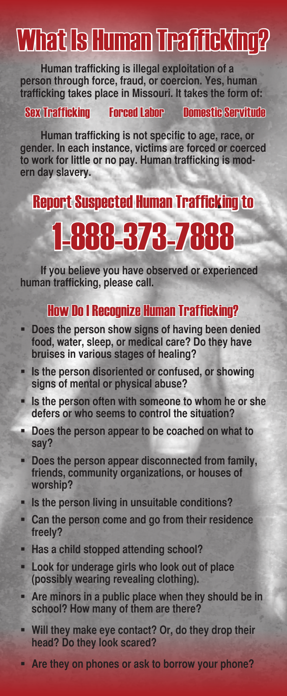## What Is Human Trafficking?

**Human trafficking is illegal exploitation of a person through force, fraud, or coercion. Yes, human trafficking takes place in Missouri. It takes the form of:**

### Sex Trafficking Forced Labor Domestic Servitude

**Human trafficking is not specific to age, race, or gender. In each instance, victims are forced or coerced to work for little or no pay. Human trafficking is modern day slavery.**

### Report Suspected Human Trafficking to

# 1-888-373-7888

**If you believe you have observed or experienced human trafficking, please call.**

### How Do I Recognize Human Trafficking?

- **Does the person show signs of having been denied food, water, sleep, or medical care? Do they have bruises in various stages of healing?**
- **Is the person disoriented or confused, or showing signs of mental or physical abuse?**
- **Is the person often with someone to whom he or she defers or who seems to control the situation?**
- **Does the person appear to be coached on what to say?**
- **Does the person appear disconnected from family, friends, community organizations, or houses of worship?**
- **IF Is the person living in unsuitable conditions?**
- **Can the person come and go from their residence freely?**
- **Has a child stopped attending school?**
- **Look for underage girls who look out of place (possibly wearing revealing clothing).**
- **Are minors in a public place when they should be in school? How many of them are there?**
- **Will they make eye contact? Or, do they drop their head? Do they look scared?**
- **Are they on phones or ask to borrow your phone?**